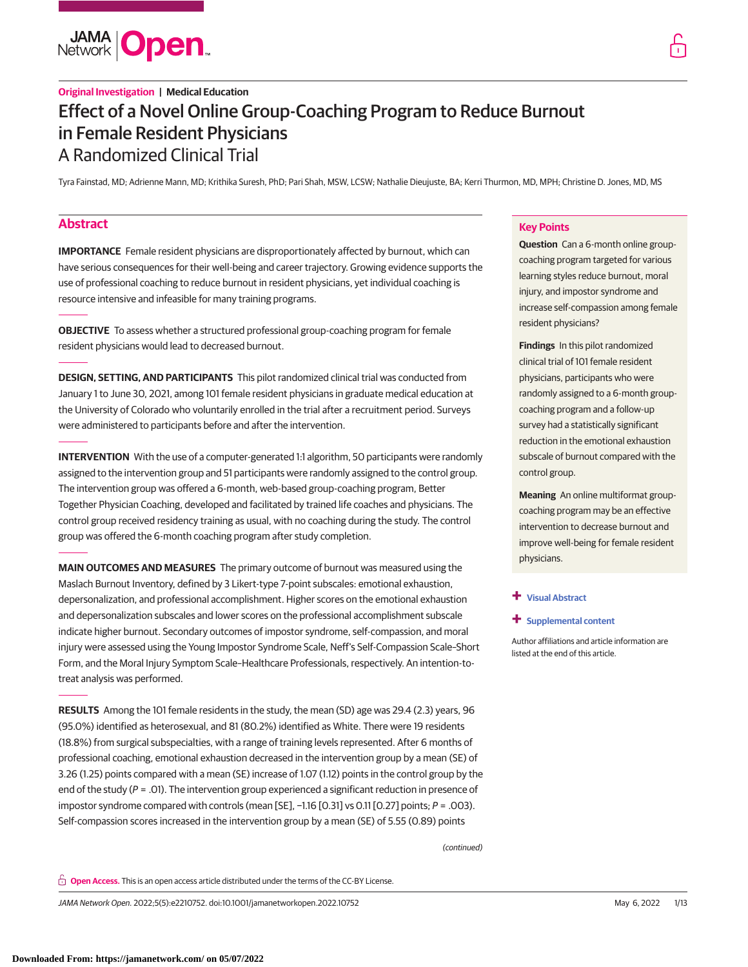

# **Original Investigation | Medical Education** Effect of a Novel Online Group-Coaching Program to Reduce Burnout in Female Resident Physicians A Randomized Clinical Trial

Tyra Fainstad, MD; Adrienne Mann, MD; Krithika Suresh, PhD; Pari Shah, MSW, LCSW; Nathalie Dieujuste, BA; Kerri Thurmon, MD, MPH; Christine D. Jones, MD, MS

# **Abstract**

**IMPORTANCE** Female resident physicians are disproportionately affected by burnout, which can have serious consequences for their well-being and career trajectory. Growing evidence supports the use of professional coaching to reduce burnout in resident physicians, yet individual coaching is resource intensive and infeasible for many training programs.

**OBJECTIVE** To assess whether a structured professional group-coaching program for female resident physicians would lead to decreased burnout.

**DESIGN, SETTING, AND PARTICIPANTS** This pilot randomized clinical trial was conducted from January 1 to June 30, 2021, among 101 female resident physicians in graduate medical education at the University of Colorado who voluntarily enrolled in the trial after a recruitment period. Surveys were administered to participants before and after the intervention.

**INTERVENTION** With the use of a computer-generated 1:1 algorithm, 50 participants were randomly assigned to the intervention group and 51 participants were randomly assigned to the control group. The intervention group was offered a 6-month, web-based group-coaching program, Better Together Physician Coaching, developed and facilitated by trained life coaches and physicians. The control group received residency training as usual, with no coaching during the study. The control group was offered the 6-month coaching program after study completion.

**MAIN OUTCOMES AND MEASURES** The primary outcome of burnout was measured using the Maslach Burnout Inventory, defined by 3 Likert-type 7-point subscales: emotional exhaustion, depersonalization, and professional accomplishment. Higher scores on the emotional exhaustion and depersonalization subscales and lower scores on the professional accomplishment subscale indicate higher burnout. Secondary outcomes of impostor syndrome, self-compassion, and moral injury were assessed using the Young Impostor Syndrome Scale, Neff's Self-Compassion Scale–Short Form, and the Moral Injury Symptom Scale–Healthcare Professionals, respectively. An intention-totreat analysis was performed.

**RESULTS** Among the 101 female residents in the study, the mean (SD) age was 29.4 (2.3) years, 96 (95.0%) identified as heterosexual, and 81 (80.2%) identified as White. There were 19 residents (18.8%) from surgical subspecialties, with a range of training levels represented. After 6 months of professional coaching, emotional exhaustion decreased in the intervention group by a mean (SE) of 3.26 (1.25) points compared with a mean (SE) increase of 1.07 (1.12) points in the control group by the end of the study ( $P = .01$ ). The intervention group experienced a significant reduction in presence of impostor syndrome compared with controls (mean [SE],  $-1.16$  [0.31] vs 0.11 [0.27] points;  $P = .003$ ). Self-compassion scores increased in the intervention group by a mean (SE) of 5.55 (0.89) points

(continued)

**Key Points**

**Question** Can a 6-month online groupcoaching program targeted for various learning styles reduce burnout, moral injury, and impostor syndrome and increase self-compassion among female resident physicians?

**Findings** In this pilot randomized clinical trial of 101 female resident physicians, participants who were randomly assigned to a 6-month groupcoaching program and a follow-up survey had a statistically significant reduction in the emotional exhaustion subscale of burnout compared with the control group.

**Meaning** An online multiformat groupcoaching program may be an effective intervention to decrease burnout and improve well-being for female resident physicians.

# **+ [Visual Abstract](https://jama.jamanetwork.com/article.aspx?doi=10.1001/jamanetworkopen.2022.10752&utm_campaign=articlePDF%26utm_medium=articlePDFlink%26utm_source=articlePDF%26utm_content=jamanetworkopen.2022.10752)**

#### **+ [Supplemental content](https://jama.jamanetwork.com/article.aspx?doi=10.1001/jamanetworkopen.2022.10752&utm_campaign=articlePDF%26utm_medium=articlePDFlink%26utm_source=articlePDF%26utm_content=jamanetworkopen.2022.10752)**

Author affiliations and article information are listed at the end of this article.

**Open Access.** This is an open access article distributed under the terms of the CC-BY License.

JAMA Network Open. 2022;5(5):e2210752. doi:10.1001/jamanetworkopen.2022.10752 (Reprinted) May 6, 2022 1/13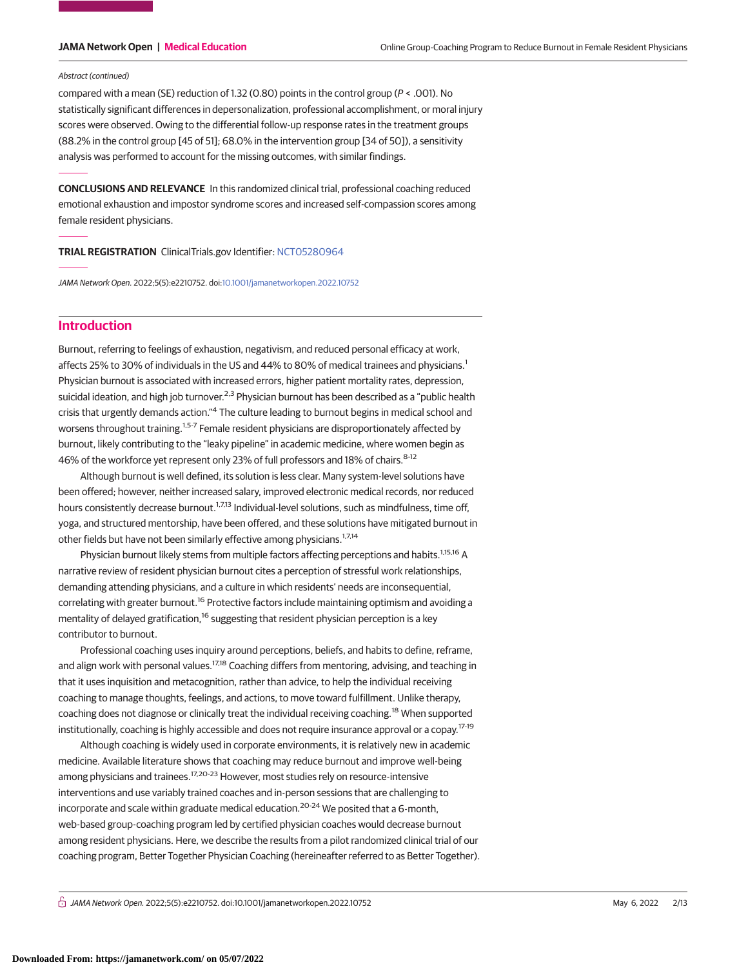#### Abstract (continued)

compared with a mean (SE) reduction of 1.32 (0.80) points in the control group (P < .001). No statistically significant differences in depersonalization, professional accomplishment, or moral injury scores were observed. Owing to the differential follow-up response rates in the treatment groups (88.2% in the control group [45 of 51]; 68.0% in the intervention group [34 of 50]), a sensitivity analysis was performed to account for the missing outcomes, with similar findings.

**CONCLUSIONS AND RELEVANCE** In this randomized clinical trial, professional coaching reduced emotional exhaustion and impostor syndrome scores and increased self-compassion scores among female resident physicians.

**TRIAL REGISTRATION** ClinicalTrials.gov Identifier: [NCT05280964](https://clinicaltrials.gov/ct2/show/NCT05280964)

JAMA Network Open. 2022;5(5):e2210752. doi[:10.1001/jamanetworkopen.2022.10752](https://jama.jamanetwork.com/article.aspx?doi=10.1001/jamanetworkopen.2022.10752&utm_campaign=articlePDF%26utm_medium=articlePDFlink%26utm_source=articlePDF%26utm_content=jamanetworkopen.2022.10752)

# **Introduction**

Burnout, referring to feelings of exhaustion, negativism, and reduced personal efficacy at work, affects 25% to 30% of individuals in the US and 44% to 80% of medical trainees and physicians.<sup>1</sup> Physician burnout is associated with increased errors, higher patient mortality rates, depression, suicidal ideation, and high job turnover.<sup>2,3</sup> Physician burnout has been described as a "public health crisis that urgently demands action."<sup>4</sup> The culture leading to burnout begins in medical school and worsens throughout training.<sup>1,5-7</sup> Female resident physicians are disproportionately affected by burnout, likely contributing to the "leaky pipeline" in academic medicine, where women begin as 46% of the workforce yet represent only 23% of full professors and 18% of chairs. 8-12

Although burnout is well defined, its solution is less clear. Many system-level solutions have been offered; however, neither increased salary, improved electronic medical records, nor reduced hours consistently decrease burnout.<sup>1,7,13</sup> Individual-level solutions, such as mindfulness, time off, yoga, and structured mentorship, have been offered, and these solutions have mitigated burnout in other fields but have not been similarly effective among physicians.<sup>1,7,14</sup>

Physician burnout likely stems from multiple factors affecting perceptions and habits.<sup>1,15,16</sup> A narrative review of resident physician burnout cites a perception of stressful work relationships, demanding attending physicians, and a culture in which residents' needs are inconsequential, correlating with greater burnout.<sup>16</sup> Protective factors include maintaining optimism and avoiding a mentality of delayed gratification,<sup>16</sup> suggesting that resident physician perception is a key contributor to burnout.

Professional coaching uses inquiry around perceptions, beliefs, and habits to define, reframe, and align work with personal values.<sup>17,18</sup> Coaching differs from mentoring, advising, and teaching in that it uses inquisition and metacognition, rather than advice, to help the individual receiving coaching to manage thoughts, feelings, and actions, to move toward fulfillment. Unlike therapy, coaching does not diagnose or clinically treat the individual receiving coaching.<sup>18</sup> When supported institutionally, coaching is highly accessible and does not require insurance approval or a copay.17-19

Although coaching is widely used in corporate environments, it is relatively new in academic medicine. Available literature shows that coaching may reduce burnout and improve well-being among physicians and trainees.<sup>17,20-23</sup> However, most studies rely on resource-intensive interventions and use variably trained coaches and in-person sessions that are challenging to incorporate and scale within graduate medical education.<sup>20-24</sup> We posited that a 6-month, web-based group-coaching program led by certified physician coaches would decrease burnout among resident physicians. Here, we describe the results from a pilot randomized clinical trial of our coaching program, Better Together Physician Coaching (hereineafter referred to as Better Together).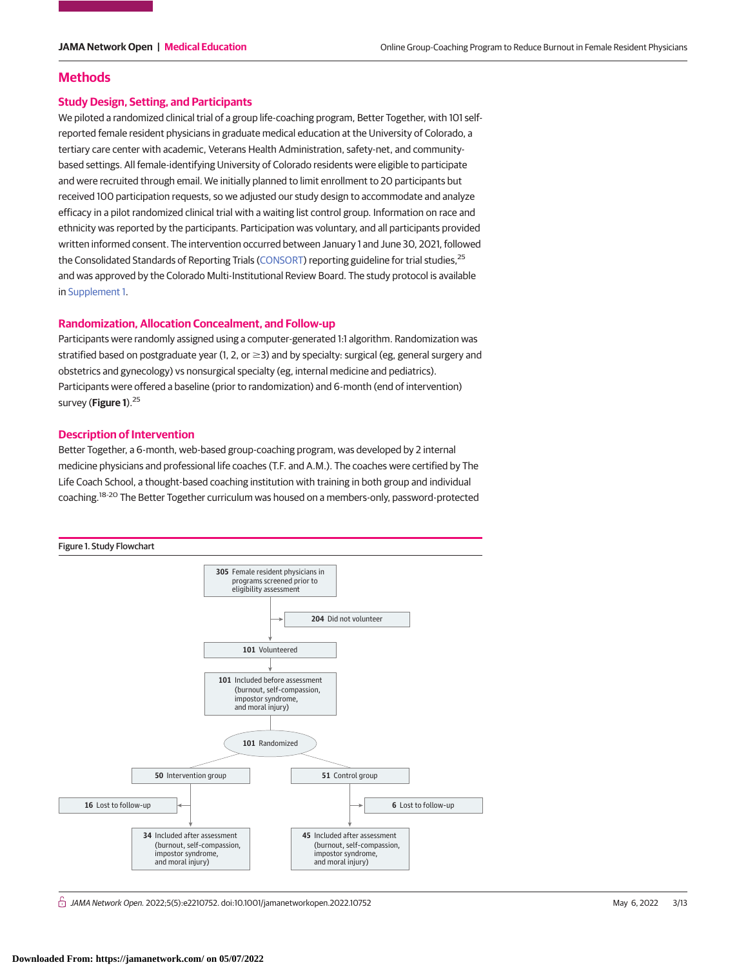### **Methods**

#### **Study Design, Setting, and Participants**

We piloted a randomized clinical trial of a group life-coaching program, Better Together, with 101 selfreported female resident physicians in graduate medical education at the University of Colorado, a tertiary care center with academic, Veterans Health Administration, safety-net, and communitybased settings. All female-identifying University of Colorado residents were eligible to participate and were recruited through email. We initially planned to limit enrollment to 20 participants but received 100 participation requests, so we adjusted our study design to accommodate and analyze efficacy in a pilot randomized clinical trial with a waiting list control group. Information on race and ethnicity was reported by the participants. Participation was voluntary, and all participants provided written informed consent. The intervention occurred between January 1 and June 30, 2021, followed the Consolidated Standards of Reporting Trials [\(CONSORT\)](https://www.equator-network.org/reporting-guidelines/consort/) reporting guideline for trial studies,<sup>25</sup> and was approved by the Colorado Multi-Institutional Review Board. The study protocol is available in [Supplement 1.](https://jama.jamanetwork.com/article.aspx?doi=10.1001/jamanetworkopen.2022.10752&utm_campaign=articlePDF%26utm_medium=articlePDFlink%26utm_source=articlePDF%26utm_content=jamanetworkopen.2022.10752)

# **Randomization, Allocation Concealment, and Follow-up**

Participants were randomly assigned using a computer-generated 1:1 algorithm. Randomization was stratified based on postgraduate year (1, 2, or  $\geq$ 3) and by specialty: surgical (eg, general surgery and obstetrics and gynecology) vs nonsurgical specialty (eg, internal medicine and pediatrics). Participants were offered a baseline (prior to randomization) and 6-month (end of intervention) survey (Figure 1).<sup>25</sup>

#### **Description of Intervention**

Better Together, a 6-month, web-based group-coaching program, was developed by 2 internal medicine physicians and professional life coaches (T.F. and A.M.). The coaches were certified by The Life Coach School, a thought-based coaching institution with training in both group and individual coaching.18-20 The Better Together curriculum was housed on a members-only, password-protected



 $\stackrel{\frown}{\Box}$  JAMA Network Open. 2022;5(5):e2210752. doi:10.1001/jamanetworkopen.2022.10752 (Reprinted) May 6, 2022 3/13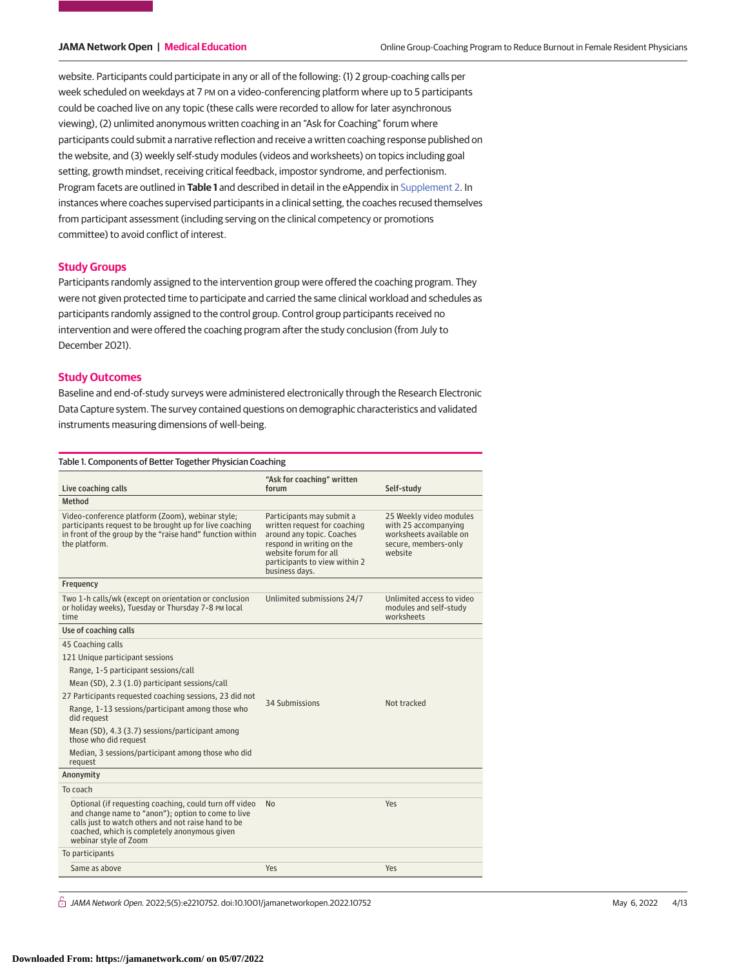website. Participants could participate in any or all of the following: (1) 2 group-coaching calls per week scheduled on weekdays at 7 PM on a video-conferencing platform where up to 5 participants could be coached live on any topic (these calls were recorded to allow for later asynchronous viewing), (2) unlimited anonymous written coaching in an "Ask for Coaching" forum where participants could submit a narrative reflection and receive a written coaching response published on the website, and (3) weekly self-study modules (videos and worksheets) on topics including goal setting, growth mindset, receiving critical feedback, impostor syndrome, and perfectionism. Program facets are outlined in **Table 1** and described in detail in the eAppendix in [Supplement 2.](https://jama.jamanetwork.com/article.aspx?doi=10.1001/jamanetworkopen.2022.10752&utm_campaign=articlePDF%26utm_medium=articlePDFlink%26utm_source=articlePDF%26utm_content=jamanetworkopen.2022.10752) In instances where coaches supervised participants in a clinical setting, the coaches recused themselves from participant assessment (including serving on the clinical competency or promotions committee) to avoid conflict of interest.

#### **Study Groups**

Participants randomly assigned to the intervention group were offered the coaching program. They were not given protected time to participate and carried the same clinical workload and schedules as participants randomly assigned to the control group. Control group participants received no intervention and were offered the coaching program after the study conclusion (from July to December 2021).

### **Study Outcomes**

Baseline and end-of-study surveys were administered electronically through the Research Electronic Data Capture system. The survey contained questions on demographic characteristics and validated instruments measuring dimensions of well-being.

| Table 1. Components of Better Together Physician Coaching                                                                                                                                                                                    |                                                                                                                                                                                                 |                                                                                                               |  |  |
|----------------------------------------------------------------------------------------------------------------------------------------------------------------------------------------------------------------------------------------------|-------------------------------------------------------------------------------------------------------------------------------------------------------------------------------------------------|---------------------------------------------------------------------------------------------------------------|--|--|
| Live coaching calls                                                                                                                                                                                                                          | "Ask for coaching" written<br>forum                                                                                                                                                             | Self-study                                                                                                    |  |  |
| Method                                                                                                                                                                                                                                       |                                                                                                                                                                                                 |                                                                                                               |  |  |
| Video-conference platform (Zoom), webinar style;<br>participants request to be brought up for live coaching<br>in front of the group by the "raise hand" function within<br>the platform.                                                    | Participants may submit a<br>written request for coaching<br>around any topic. Coaches<br>respond in writing on the<br>website forum for all<br>participants to view within 2<br>business days. | 25 Weekly video modules<br>with 25 accompanying<br>worksheets available on<br>secure, members-only<br>website |  |  |
| Frequency                                                                                                                                                                                                                                    |                                                                                                                                                                                                 |                                                                                                               |  |  |
| Two 1-h calls/wk (except on orientation or conclusion<br>or holiday weeks), Tuesday or Thursday 7-8 PM local<br>time                                                                                                                         | Unlimited submissions 24/7                                                                                                                                                                      | Unlimited access to video<br>modules and self-study<br>worksheets                                             |  |  |
| Use of coaching calls                                                                                                                                                                                                                        |                                                                                                                                                                                                 |                                                                                                               |  |  |
| 45 Coaching calls                                                                                                                                                                                                                            |                                                                                                                                                                                                 |                                                                                                               |  |  |
| 121 Unique participant sessions                                                                                                                                                                                                              |                                                                                                                                                                                                 |                                                                                                               |  |  |
| Range, 1-5 participant sessions/call                                                                                                                                                                                                         |                                                                                                                                                                                                 |                                                                                                               |  |  |
| Mean (SD), 2.3 (1.0) participant sessions/call                                                                                                                                                                                               |                                                                                                                                                                                                 |                                                                                                               |  |  |
| 27 Participants requested coaching sessions, 23 did not                                                                                                                                                                                      |                                                                                                                                                                                                 |                                                                                                               |  |  |
| Range, 1-13 sessions/participant among those who<br>did request                                                                                                                                                                              | 34 Submissions                                                                                                                                                                                  | Not tracked                                                                                                   |  |  |
| Mean (SD), 4.3 (3.7) sessions/participant among<br>those who did request                                                                                                                                                                     |                                                                                                                                                                                                 |                                                                                                               |  |  |
| Median, 3 sessions/participant among those who did<br>request                                                                                                                                                                                |                                                                                                                                                                                                 |                                                                                                               |  |  |
| Anonymity                                                                                                                                                                                                                                    |                                                                                                                                                                                                 |                                                                                                               |  |  |
| To coach                                                                                                                                                                                                                                     |                                                                                                                                                                                                 |                                                                                                               |  |  |
| Optional (if requesting coaching, could turn off video<br>and change name to "anon"); option to come to live<br>calls just to watch others and not raise hand to be<br>coached, which is completely anonymous given<br>webinar style of Zoom | N <sub>0</sub>                                                                                                                                                                                  | Yes                                                                                                           |  |  |
| To participants                                                                                                                                                                                                                              |                                                                                                                                                                                                 |                                                                                                               |  |  |
| Same as above                                                                                                                                                                                                                                | Yes                                                                                                                                                                                             | Yes                                                                                                           |  |  |

 $\bigcap$  JAMA Network Open. 2022;5(5):e2210752. doi:10.1001/jamanetworkopen.2022.10752 (Reprinted) May 6, 2022 4/13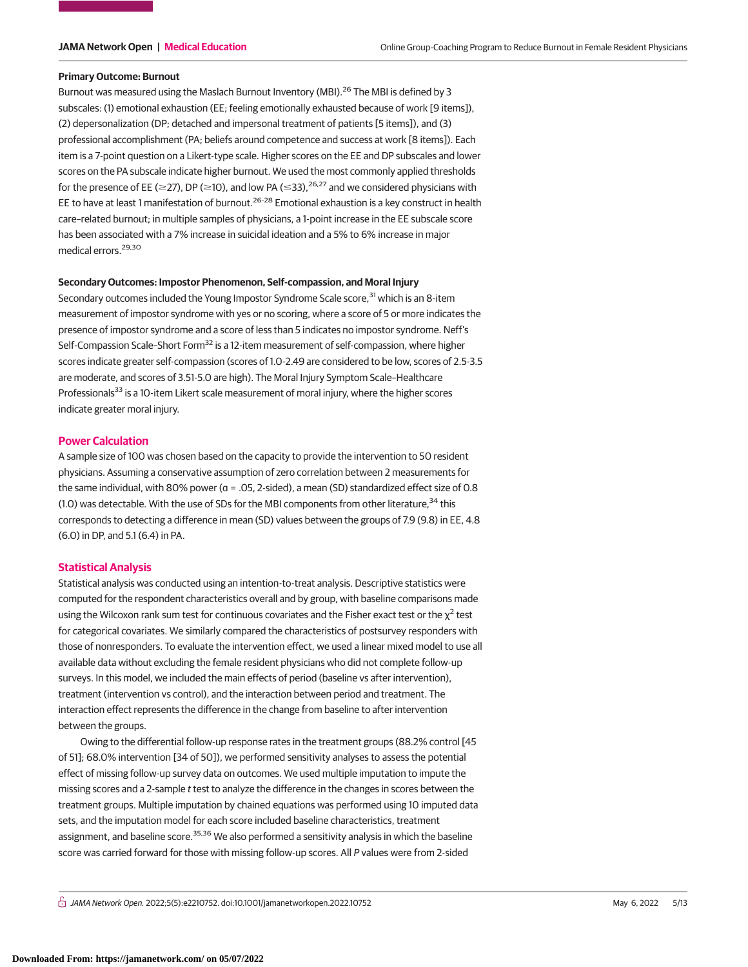#### **Primary Outcome: Burnout**

Burnout was measured using the Maslach Burnout Inventory (MBI).<sup>26</sup> The MBI is defined by 3 subscales: (1) emotional exhaustion (EE; feeling emotionally exhausted because of work [9 items]), (2) depersonalization (DP; detached and impersonal treatment of patients [5 items]), and (3) professional accomplishment (PA; beliefs around competence and success at work [8 items]). Each item is a 7-point question on a Likert-type scale. Higher scores on the EE and DP subscales and lower scores on the PA subscale indicate higher burnout. We used the most commonly applied thresholds for the presence of EE ( $\geq$ 27), DP ( $\geq$ 10), and low PA ( $\leq$ 33),<sup>26,27</sup> and we considered physicians with EE to have at least 1 manifestation of burnout.<sup>26-28</sup> Emotional exhaustion is a key construct in health care–related burnout; in multiple samples of physicians, a 1-point increase in the EE subscale score has been associated with a 7% increase in suicidal ideation and a 5% to 6% increase in major medical errors.<sup>29,30</sup>

### **Secondary Outcomes: Impostor Phenomenon, Self-compassion, and Moral Injury**

Secondary outcomes included the Young Impostor Syndrome Scale score,<sup>31</sup> which is an 8-item measurement of impostor syndrome with yes or no scoring, where a score of 5 or more indicates the presence of impostor syndrome and a score of less than 5 indicates no impostor syndrome. Neff's Self-Compassion Scale-Short Form<sup>32</sup> is a 12-item measurement of self-compassion, where higher scores indicate greater self-compassion (scores of 1.0-2.49 are considered to be low, scores of 2.5-3.5 are moderate, and scores of 3.51-5.0 are high). The Moral Injury Symptom Scale–Healthcare Professionals<sup>33</sup> is a 10-item Likert scale measurement of moral injury, where the higher scores indicate greater moral injury.

#### **Power Calculation**

A sample size of 100 was chosen based on the capacity to provide the intervention to 50 resident physicians. Assuming a conservative assumption of zero correlation between 2 measurements for the same individual, with 80% power (α = .05, 2-sided), a mean (SD) standardized effect size of 0.8 (1.0) was detectable. With the use of SDs for the MBI components from other literature,<sup>34</sup> this corresponds to detecting a difference in mean (SD) values between the groups of 7.9 (9.8) in EE, 4.8 (6.0) in DP, and 5.1 (6.4) in PA.

# **Statistical Analysis**

Statistical analysis was conducted using an intention-to-treat analysis. Descriptive statistics were computed for the respondent characteristics overall and by group, with baseline comparisons made using the Wilcoxon rank sum test for continuous covariates and the Fisher exact test or the  $\chi^2$  test for categorical covariates. We similarly compared the characteristics of postsurvey responders with those of nonresponders. To evaluate the intervention effect, we used a linear mixed model to use all available data without excluding the female resident physicians who did not complete follow-up surveys. In this model, we included the main effects of period (baseline vs after intervention), treatment (intervention vs control), and the interaction between period and treatment. The interaction effect represents the difference in the change from baseline to after intervention between the groups.

Owing to the differential follow-up response rates in the treatment groups (88.2% control [45 of 51]; 68.0% intervention [34 of 50]), we performed sensitivity analyses to assess the potential effect of missing follow-up survey data on outcomes. We used multiple imputation to impute the missing scores and a 2-sample t test to analyze the difference in the changes in scores between the treatment groups. Multiple imputation by chained equations was performed using 10 imputed data sets, and the imputation model for each score included baseline characteristics, treatment assignment, and baseline score.<sup>35,36</sup> We also performed a sensitivity analysis in which the baseline score was carried forward for those with missing follow-up scores. All P values were from 2-sided

 $\stackrel{\frown}{\Pi}$  JAMA Network Open. 2022;5(5):e2210752. doi:10.1001/jamanetworkopen.2022.10752 (Reprinted) May 6, 2022 5/13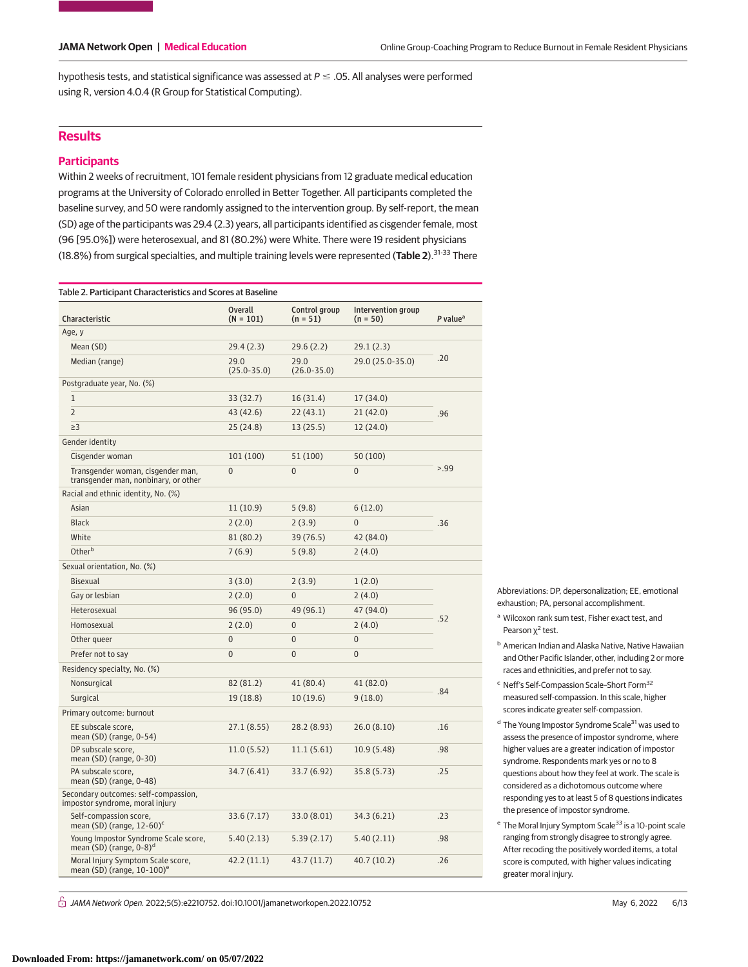hypothesis tests, and statistical significance was assessed at  $P \le .05$ . All analyses were performed using R, version 4.0.4 (R Group for Statistical Computing).

# **Results**

# **Participants**

Within 2 weeks of recruitment, 101 female resident physicians from 12 graduate medical education programs at the University of Colorado enrolled in Better Together. All participants completed the baseline survey, and 50 were randomly assigned to the intervention group. By self-report, the mean (SD) age of the participants was 29.4 (2.3) years, all participants identified as cisgender female, most (96 [95.0%]) were heterosexual, and 81 (80.2%) were White. There were 19 resident physicians (18.8%) from surgical specialties, and multiple training levels were represented (**Table 2**).31-33 There

| Table 2. Participant Characteristics and Scores at Baseline                 |                               |                             |                                  |                      |  |  |  |  |
|-----------------------------------------------------------------------------|-------------------------------|-----------------------------|----------------------------------|----------------------|--|--|--|--|
| Characteristic                                                              | <b>Overall</b><br>$(N = 101)$ | Control group<br>$(n = 51)$ | Intervention group<br>$(n = 50)$ | P value <sup>a</sup> |  |  |  |  |
| Age, y                                                                      |                               |                             |                                  |                      |  |  |  |  |
| Mean (SD)                                                                   | 29.4(2.3)                     | 29.6(2.2)                   | 29.1(2.3)                        |                      |  |  |  |  |
| Median (range)                                                              | 29.0<br>$(25.0 - 35.0)$       | 29.0<br>$(26.0 - 35.0)$     | 29.0 (25.0-35.0)                 | .20                  |  |  |  |  |
| Postgraduate year, No. (%)                                                  |                               |                             |                                  |                      |  |  |  |  |
| $1\,$                                                                       | 33(32.7)                      | 16 (31.4)                   | 17 (34.0)                        | .96                  |  |  |  |  |
| $\overline{2}$                                                              | 43 (42.6)                     | 22(43.1)                    | 21(42.0)                         |                      |  |  |  |  |
| $\geq$ 3                                                                    | 25(24.8)                      | 13(25.5)                    | 12(24.0)                         |                      |  |  |  |  |
| Gender identity                                                             |                               |                             |                                  |                      |  |  |  |  |
| Cisgender woman                                                             | 101 (100)                     | 51 (100)                    | 50 (100)                         |                      |  |  |  |  |
| Transgender woman, cisgender man,<br>transgender man, nonbinary, or other   | $\overline{0}$                | $\overline{0}$              | $\overline{0}$                   | > 99                 |  |  |  |  |
| Racial and ethnic identity, No. (%)                                         |                               |                             |                                  |                      |  |  |  |  |
| Asian                                                                       | 11(10.9)                      | 5(9.8)                      | 6(12.0)                          |                      |  |  |  |  |
| <b>Black</b>                                                                | 2(2.0)                        | 2(3.9)                      | $\overline{0}$                   | .36                  |  |  |  |  |
| White                                                                       | 81 (80.2)                     | 39 (76.5)                   | 42 (84.0)                        |                      |  |  |  |  |
| Otherb                                                                      | 7(6.9)                        | 5(9.8)                      | 2(4.0)                           |                      |  |  |  |  |
| Sexual orientation, No. (%)                                                 |                               |                             |                                  |                      |  |  |  |  |
| <b>Bisexual</b>                                                             | 3(3.0)                        | 2(3.9)                      | 1(2.0)                           |                      |  |  |  |  |
| Gay or lesbian                                                              | 2(2.0)                        | $\overline{0}$              | 2(4.0)                           |                      |  |  |  |  |
| Heterosexual                                                                | 96 (95.0)                     | 49 (96.1)                   | 47 (94.0)                        |                      |  |  |  |  |
| Homosexual                                                                  | 2(2.0)                        | $\overline{0}$              | 2(4.0)                           | .52                  |  |  |  |  |
| Other queer                                                                 | $\overline{0}$                | $\overline{0}$              | $\overline{0}$                   |                      |  |  |  |  |
| Prefer not to say                                                           | $\Omega$                      | $\overline{0}$              | $\overline{0}$                   |                      |  |  |  |  |
| Residency specialty, No. (%)                                                |                               |                             |                                  |                      |  |  |  |  |
| Nonsurgical                                                                 | 82 (81.2)                     | 41 (80.4)                   | 41 (82.0)                        |                      |  |  |  |  |
| Surgical                                                                    | 19 (18.8)                     | 10(19.6)                    | 9(18.0)                          | .84                  |  |  |  |  |
| Primary outcome: burnout                                                    |                               |                             |                                  |                      |  |  |  |  |
| EE subscale score,<br>mean $(SD)$ (range, $0-54$ )                          | 27.1(8.55)                    | 28.2 (8.93)                 | 26.0(8.10)                       | .16                  |  |  |  |  |
| DP subscale score,<br>mean (SD) (range, 0-30)                               | 11.0(5.52)                    | 11.1(5.61)                  | 10.9 (5.48)                      | .98                  |  |  |  |  |
| PA subscale score,<br>mean $(SD)$ (range, 0-48)                             | 34.7 (6.41)                   | 33.7 (6.92)                 | 35.8 (5.73)                      | .25                  |  |  |  |  |
| Secondary outcomes: self-compassion,<br>impostor syndrome, moral injury     |                               |                             |                                  |                      |  |  |  |  |
| Self-compassion score,<br>mean (SD) (range, $12-60$ ) <sup>c</sup>          | 33.6 (7.17)                   | 33.0 (8.01)                 | 34.3 (6.21)                      | .23                  |  |  |  |  |
| Young Impostor Syndrome Scale score,<br>mean (SD) (range, 0-8) <sup>d</sup> | 5.40(2.13)                    | 5.39(2.17)                  | 5.40(2.11)                       | .98                  |  |  |  |  |
| Moral Injury Symptom Scale score,<br>mean (SD) (range, 10-100) <sup>e</sup> | 42.2(11.1)                    | 43.7 (11.7)                 | 40.7 (10.2)                      | .26                  |  |  |  |  |

Abbreviations: DP, depersonalization; EE, emotional exhaustion; PA, personal accomplishment.

<sup>b</sup> American Indian and Alaska Native, Native Hawaiian and Other Pacific Islander, other, including 2 or more races and ethnicities, and prefer not to say.

<sup>c</sup> Neff's Self-Compassion Scale–Short Form32 measured self-compassion. In this scale, higher scores indicate greater self-compassion.

- <sup>d</sup> The Young Impostor Syndrome Scale<sup>31</sup> was used to assess the presence of impostor syndrome, where higher values are a greater indication of impostor syndrome. Respondents mark yes or no to 8 questions about how they feel at work. The scale is considered as a dichotomous outcome where responding yes to at least 5 of 8 questions indicates the presence of impostor syndrome.
- e The Moral Injury Symptom Scale<sup>33</sup> is a 10-point scale ranging from strongly disagree to strongly agree. After recoding the positively worded items, a total score is computed, with higher values indicating greater moral injury.

 $\bigcap$  JAMA Network Open. 2022;5(5):e2210752. doi:10.1001/jamanetworkopen.2022.10752 (Reprinted) May 6, 2022 6/13

<sup>a</sup> Wilcoxon rank sum test, Fisher exact test, and Pearson  $\chi^2$  test.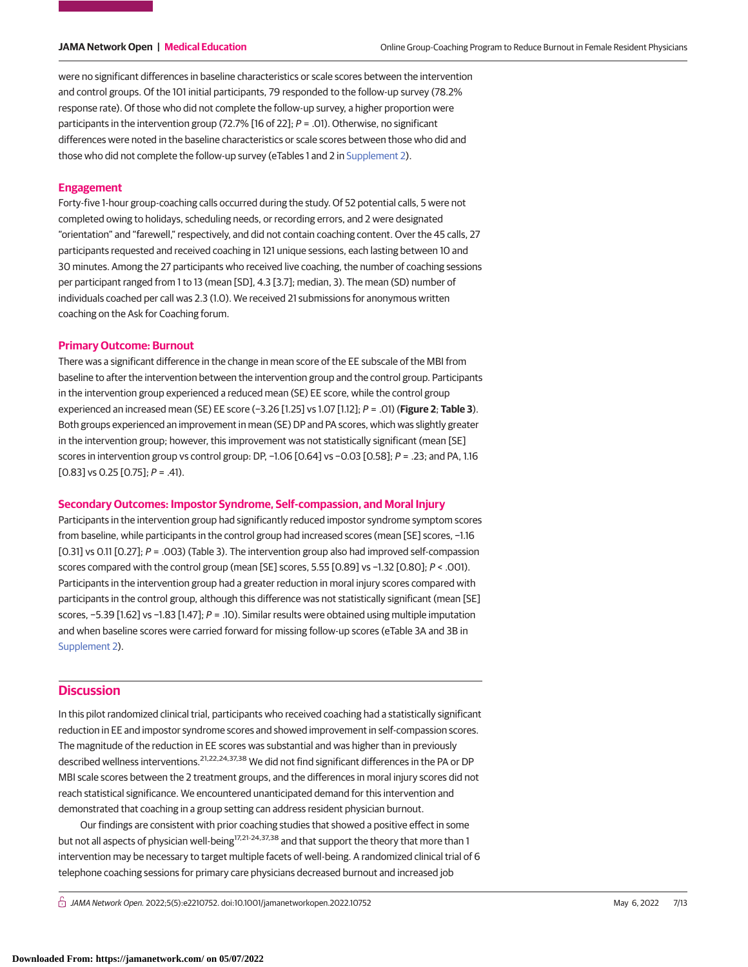were no significant differences in baseline characteristics or scale scores between the intervention and control groups. Of the 101 initial participants, 79 responded to the follow-up survey (78.2% response rate). Of those who did not complete the follow-up survey, a higher proportion were participants in the intervention group (72.7% [16 of 22];  $P = .01$ ). Otherwise, no significant differences were noted in the baseline characteristics or scale scores between those who did and those who did not complete the follow-up survey (eTables 1 and 2 in [Supplement 2\)](https://jama.jamanetwork.com/article.aspx?doi=10.1001/jamanetworkopen.2022.10752&utm_campaign=articlePDF%26utm_medium=articlePDFlink%26utm_source=articlePDF%26utm_content=jamanetworkopen.2022.10752).

### **Engagement**

Forty-five 1-hour group-coaching calls occurred during the study. Of 52 potential calls, 5 were not completed owing to holidays, scheduling needs, or recording errors, and 2 were designated "orientation" and "farewell," respectively, and did not contain coaching content. Over the 45 calls, 27 participants requested and received coaching in 121 unique sessions, each lasting between 10 and 30 minutes. Among the 27 participants who received live coaching, the number of coaching sessions per participant ranged from 1 to 13 (mean [SD], 4.3 [3.7]; median, 3). The mean (SD) number of individuals coached per call was 2.3 (1.0). We received 21 submissions for anonymous written coaching on the Ask for Coaching forum.

### **Primary Outcome: Burnout**

There was a significant difference in the change in mean score of the EE subscale of the MBI from baseline to after the intervention between the intervention group and the control group. Participants in the intervention group experienced a reduced mean (SE) EE score, while the control group experienced an increased mean (SE) EE score (−3.26 [1.25] vs 1.07 [1.12]; P = .01) (**Figure 2**; **Table 3**). Both groups experienced an improvement in mean (SE) DP and PA scores, which was slightly greater in the intervention group; however, this improvement was not statistically significant (mean [SE] scores in intervention group vs control group: DP, -1.06 [0.64] vs -0.03 [0.58]; P = .23; and PA, 1.16  $[0.83]$  vs 0.25  $[0.75]$ ;  $P = .41$ ).

# **Secondary Outcomes: Impostor Syndrome, Self-compassion, and Moral Injury**

Participants in the intervention group had significantly reduced impostor syndrome symptom scores from baseline, while participants in the control group had increased scores (mean [SE] scores, −1.16 [0.31] vs 0.11 [0.27]; P = .003) (Table 3). The intervention group also had improved self-compassion scores compared with the control group (mean [SE] scores, 5.55 [0.89] vs −1.32 [0.80]; P < .001). Participants in the intervention group had a greater reduction in moral injury scores compared with participants in the control group, although this difference was not statistically significant (mean [SE] scores, −5.39 [1.62] vs −1.83 [1.47]; P = .10). Similar results were obtained using multiple imputation and when baseline scores were carried forward for missing follow-up scores (eTable 3A and 3B in [Supplement 2\)](https://jama.jamanetwork.com/article.aspx?doi=10.1001/jamanetworkopen.2022.10752&utm_campaign=articlePDF%26utm_medium=articlePDFlink%26utm_source=articlePDF%26utm_content=jamanetworkopen.2022.10752).

# **Discussion**

In this pilot randomized clinical trial, participants who received coaching had a statistically significant reduction in EE and impostor syndrome scores and showed improvement in self-compassion scores. The magnitude of the reduction in EE scores was substantial and was higher than in previously described wellness interventions.<sup>21,22,24,37,38</sup> We did not find significant differences in the PA or DP MBI scale scores between the 2 treatment groups, and the differences in moral injury scores did not reach statistical significance. We encountered unanticipated demand for this intervention and demonstrated that coaching in a group setting can address resident physician burnout.

Our findings are consistent with prior coaching studies that showed a positive effect in some but not all aspects of physician well-being<sup>17,21-24,37,38</sup> and that support the theory that more than 1 intervention may be necessary to target multiple facets of well-being. A randomized clinical trial of 6 telephone coaching sessions for primary care physicians decreased burnout and increased job

 $\bigcap$  JAMA Network Open. 2022;5(5):e2210752. doi:10.1001/jamanetworkopen.2022.10752 (Reprinted) May 6, 2022 7/13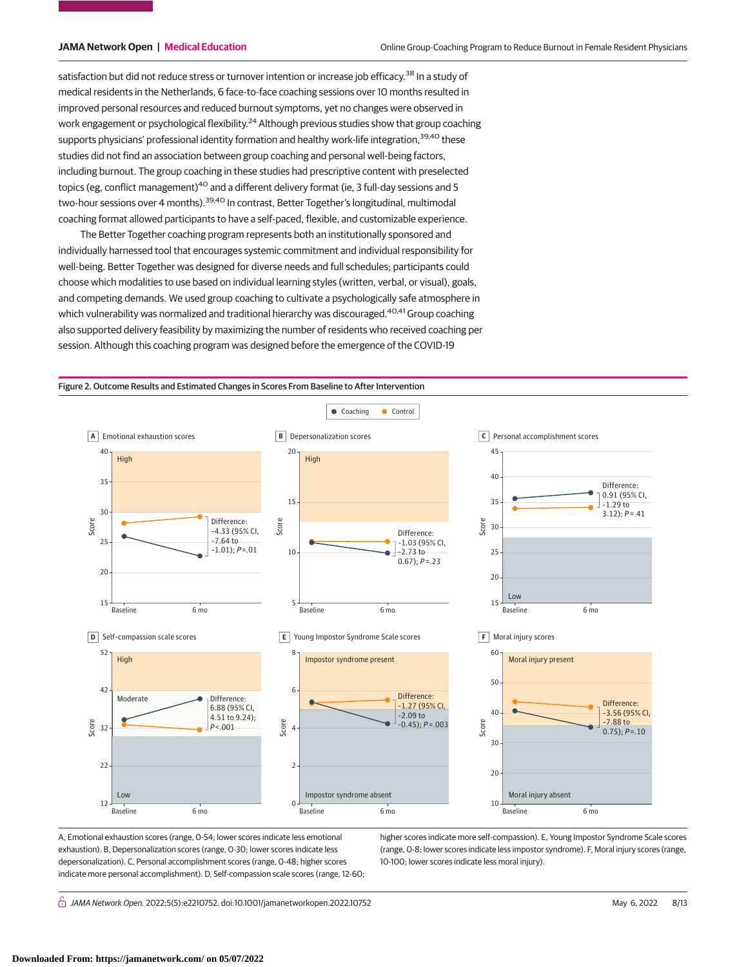satisfaction but did not reduce stress or turnover intention or increase job efficacy.<sup>38</sup> In a study of medical residents in the Netherlands, 6 face-to-face coaching sessions over 10 months resulted in improved personal resources and reduced burnout symptoms, yet no changes were observed in work engagement or psychological flexibility.<sup>24</sup> Although previous studies show that group coaching supports physicians' professional identity formation and healthy work-life integration, 39,40 these studies did not find an association between group coaching and personal well-being factors, including burnout. The group coaching in these studies had prescriptive content with preselected topics (eg, conflict management)<sup>40</sup> and a different delivery format (ie, 3 full-day sessions and 5 two-hour sessions over 4 months).<sup>39,40</sup> In contrast, Better Together's longitudinal, multimodal coaching format allowed participants to have a self-paced, flexible, and customizable experience.

The Better Together coaching program represents both an institutionally sponsored and individually harnessed tool that encourages systemic commitment and individual responsibility for well-being. Better Together was designed for diverse needs and full schedules; participants could choose which modalities to use based on individual learning styles (written, verbal, or visual), goals, and competing demands. We used group coaching to cultivate a psychologically safe atmosphere in which vulnerability was normalized and traditional hierarchy was discouraged.<sup>40,41</sup> Group coaching also supported delivery feasibility by maximizing the number of residents who received coaching per session. Although this coaching program was designed before the emergence of the COVID-19

Figure 2. Outcome Results and Estimated Changes in Scores From Baseline to After Intervention



A, Emotional exhaustion scores (range, 0-54; lower scores indicate less emotional exhaustion). B, Depersonalization scores (range, 0-30; lower scores indicate less depersonalization). C, Personal accomplishment scores (range, 0-48; higher scores indicate more personal accomplishment). D, Self-compassion scale scores (range, 12-60; higher scores indicate more self-compassion). E, Young Impostor Syndrome Scale scores (range, 0-8; lower scores indicate less impostor syndrome). F, Moral injury scores (range, 10-100; lower scores indicate less moral injury).

 $\bigcap$  JAMA Network Open. 2022;5(5):e2210752. doi:10.1001/jamanetworkopen.2022.10752 (Reprinted) May 6, 2022 8/13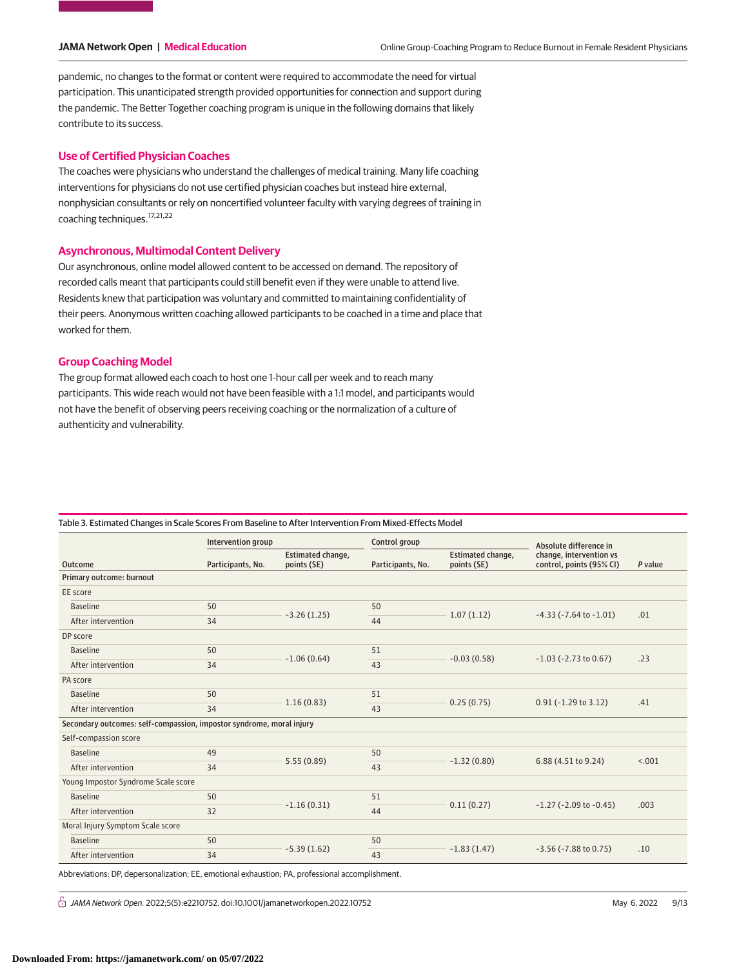pandemic, no changes to the format or content were required to accommodate the need for virtual participation. This unanticipated strength provided opportunities for connection and support during the pandemic. The Better Together coaching program is unique in the following domains that likely contribute to its success.

### **Use of Certified Physician Coaches**

The coaches were physicians who understand the challenges of medical training. Many life coaching interventions for physicians do not use certified physician coaches but instead hire external, nonphysician consultants or rely on noncertified volunteer faculty with varying degrees of training in coaching techniques.17,21,22

### **Asynchronous, Multimodal Content Delivery**

Our asynchronous, online model allowed content to be accessed on demand. The repository of recorded calls meant that participants could still benefit even if they were unable to attend live. Residents knew that participation was voluntary and committed to maintaining confidentiality of their peers. Anonymous written coaching allowed participants to be coached in a time and place that worked for them.

# **Group Coaching Model**

The group format allowed each coach to host one 1-hour call per week and to reach many participants. This wide reach would not have been feasible with a 1:1 model, and participants would not have the benefit of observing peers receiving coaching or the normalization of a culture of authenticity and vulnerability.

|                                                                      | Intervention group |                                  | Control group     |                                  | Absolute difference in                              |         |  |  |
|----------------------------------------------------------------------|--------------------|----------------------------------|-------------------|----------------------------------|-----------------------------------------------------|---------|--|--|
| <b>Outcome</b>                                                       | Participants, No.  | Estimated change,<br>points (SE) | Participants, No. | Estimated change,<br>points (SE) | change, intervention vs<br>control, points (95% CI) | P value |  |  |
| Primary outcome: burnout                                             |                    |                                  |                   |                                  |                                                     |         |  |  |
| EE score                                                             |                    |                                  |                   |                                  |                                                     |         |  |  |
| <b>Baseline</b>                                                      | 50                 | $-3.26(1.25)$                    | 50                | 1.07(1.12)                       | $-4.33$ ( $-7.64$ to $-1.01$ )                      | .01     |  |  |
| After intervention                                                   | 34                 |                                  | 44                |                                  |                                                     |         |  |  |
| DP score                                                             |                    |                                  |                   |                                  |                                                     |         |  |  |
| <b>Baseline</b>                                                      | 50                 | $-1.06(0.64)$                    | 51                | $-0.03(0.58)$                    | $-1.03$ ( $-2.73$ to 0.67)                          | .23     |  |  |
| After intervention                                                   | 34                 |                                  | 43                |                                  |                                                     |         |  |  |
| PA score                                                             |                    |                                  |                   |                                  |                                                     |         |  |  |
| <b>Baseline</b>                                                      | 50                 | 1.16(0.83)                       | 51                | 0.25(0.75)                       | $0.91 (-1.29 to 3.12)$                              | .41     |  |  |
| After intervention                                                   | 34                 |                                  | 43                |                                  |                                                     |         |  |  |
| Secondary outcomes: self-compassion, impostor syndrome, moral injury |                    |                                  |                   |                                  |                                                     |         |  |  |
| Self-compassion score                                                |                    |                                  |                   |                                  |                                                     |         |  |  |
| <b>Baseline</b>                                                      | 49                 | 5.55(0.89)                       | 50                | $-1.32(0.80)$                    | 6.88 (4.51 to 9.24)                                 | < .001  |  |  |
| After intervention                                                   | 34                 |                                  | 43                |                                  |                                                     |         |  |  |
| Young Impostor Syndrome Scale score                                  |                    |                                  |                   |                                  |                                                     |         |  |  |
| <b>Baseline</b>                                                      | 50                 | $-1.16(0.31)$                    | 51                | 0.11(0.27)                       | $-1.27$ ( $-2.09$ to $-0.45$ )                      | .003    |  |  |
| After intervention                                                   | 32                 |                                  | 44                |                                  |                                                     |         |  |  |
| Moral Injury Symptom Scale score                                     |                    |                                  |                   |                                  |                                                     |         |  |  |
| <b>Baseline</b>                                                      | 50                 | $-5.39(1.62)$                    | 50                | $-1.83(1.47)$                    | $-3.56$ ( $-7.88$ to 0.75)                          | .10     |  |  |
| After intervention                                                   | 34                 |                                  | 43                |                                  |                                                     |         |  |  |

#### Table 3. Estimated Changes in Scale Scores From Baseline to After Intervention From Mixed-Effects Model

 $\bigcap$  JAMA Network Open. 2022;5(5):e2210752. doi:10.1001/jamanetworkopen.2022.10752 (Reprinted) May 6, 2022 9/13

Abbreviations: DP, depersonalization; EE, emotional exhaustion; PA, professional accomplishment.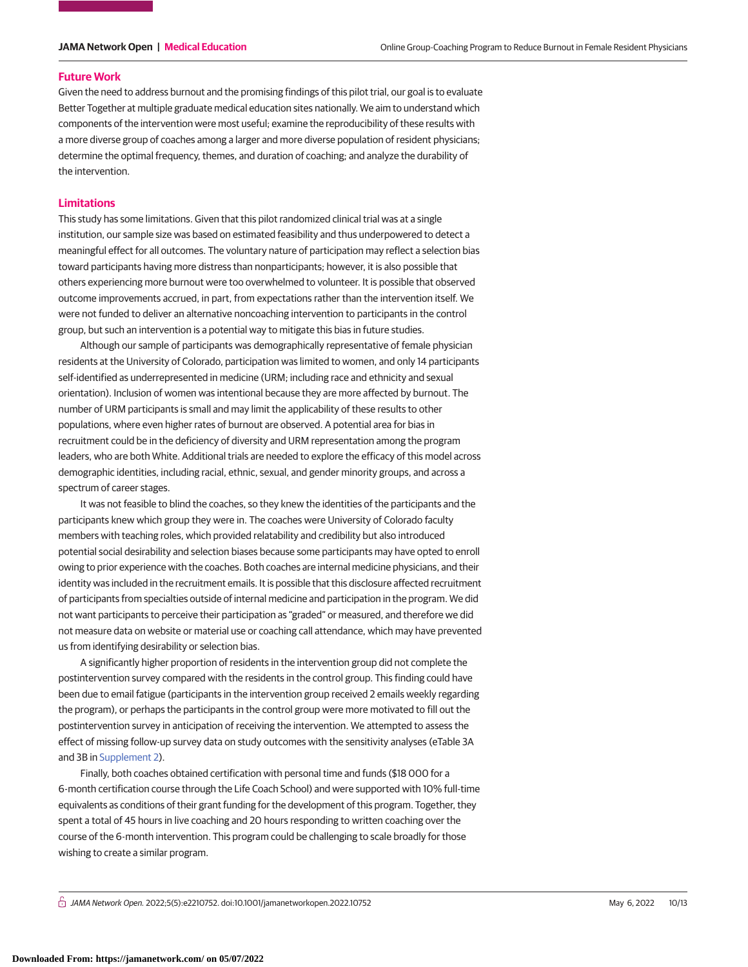#### **Future Work**

Given the need to address burnout and the promising findings of this pilot trial, our goal is to evaluate Better Together at multiple graduate medical education sites nationally. We aim to understand which components of the intervention were most useful; examine the reproducibility of these results with a more diverse group of coaches among a larger and more diverse population of resident physicians; determine the optimal frequency, themes, and duration of coaching; and analyze the durability of the intervention.

#### **Limitations**

This study has some limitations. Given that this pilot randomized clinical trial was at a single institution, our sample size was based on estimated feasibility and thus underpowered to detect a meaningful effect for all outcomes. The voluntary nature of participation may reflect a selection bias toward participants having more distress than nonparticipants; however, it is also possible that others experiencing more burnout were too overwhelmed to volunteer. It is possible that observed outcome improvements accrued, in part, from expectations rather than the intervention itself. We were not funded to deliver an alternative noncoaching intervention to participants in the control group, but such an intervention is a potential way to mitigate this bias in future studies.

Although our sample of participants was demographically representative of female physician residents at the University of Colorado, participation was limited to women, and only 14 participants self-identified as underrepresented in medicine (URM; including race and ethnicity and sexual orientation). Inclusion of women was intentional because they are more affected by burnout. The number of URM participants is small and may limit the applicability of these results to other populations, where even higher rates of burnout are observed. A potential area for bias in recruitment could be in the deficiency of diversity and URM representation among the program leaders, who are both White. Additional trials are needed to explore the efficacy of this model across demographic identities, including racial, ethnic, sexual, and gender minority groups, and across a spectrum of career stages.

It was not feasible to blind the coaches, so they knew the identities of the participants and the participants knew which group they were in. The coaches were University of Colorado faculty members with teaching roles, which provided relatability and credibility but also introduced potential social desirability and selection biases because some participants may have opted to enroll owing to prior experience with the coaches. Both coaches are internal medicine physicians, and their identity was included in the recruitment emails. It is possible that this disclosure affected recruitment of participants from specialties outside of internal medicine and participation in the program. We did not want participants to perceive their participation as "graded" or measured, and therefore we did not measure data on website or material use or coaching call attendance, which may have prevented us from identifying desirability or selection bias.

A significantly higher proportion of residents in the intervention group did not complete the postintervention survey compared with the residents in the control group. This finding could have been due to email fatigue (participants in the intervention group received 2 emails weekly regarding the program), or perhaps the participants in the control group were more motivated to fill out the postintervention survey in anticipation of receiving the intervention. We attempted to assess the effect of missing follow-up survey data on study outcomes with the sensitivity analyses (eTable 3A and 3B in [Supplement 2\)](https://jama.jamanetwork.com/article.aspx?doi=10.1001/jamanetworkopen.2022.10752&utm_campaign=articlePDF%26utm_medium=articlePDFlink%26utm_source=articlePDF%26utm_content=jamanetworkopen.2022.10752).

Finally, both coaches obtained certification with personal time and funds (\$18 000 for a 6-month certification course through the Life Coach School) and were supported with 10% full-time equivalents as conditions of their grant funding for the development of this program. Together, they spent a total of 45 hours in live coaching and 20 hours responding to written coaching over the course of the 6-month intervention. This program could be challenging to scale broadly for those wishing to create a similar program.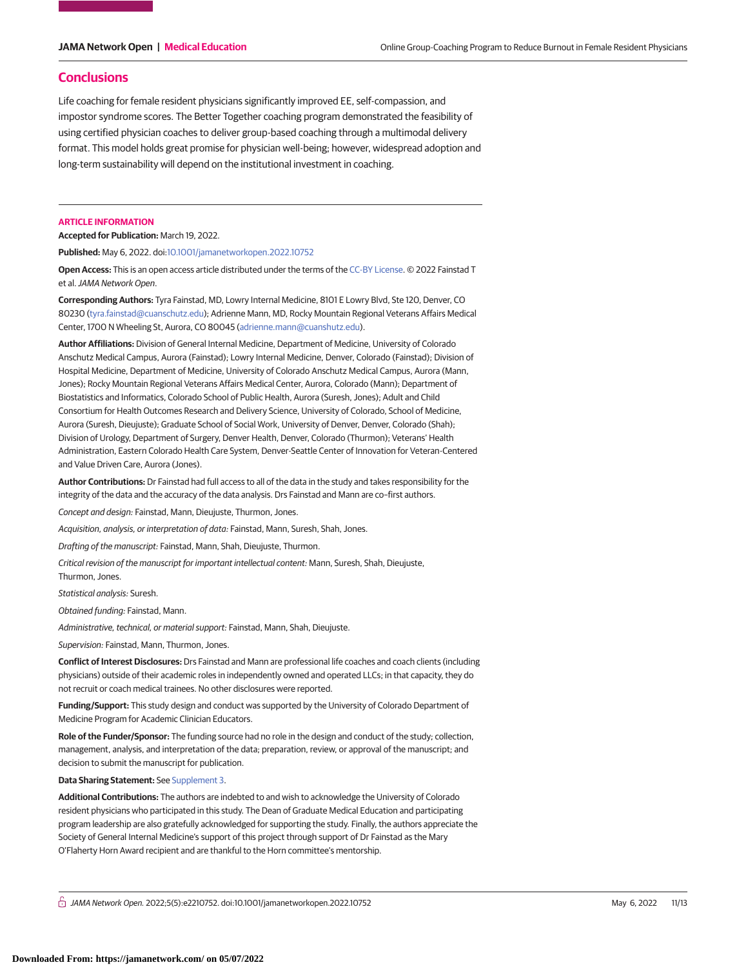#### **Conclusions**

Life coaching for female resident physicians significantly improved EE, self-compassion, and impostor syndrome scores. The Better Together coaching program demonstrated the feasibility of using certified physician coaches to deliver group-based coaching through a multimodal delivery format. This model holds great promise for physician well-being; however, widespread adoption and long-term sustainability will depend on the institutional investment in coaching.

#### **ARTICLE INFORMATION**

**Accepted for Publication:** March 19, 2022.

**Published:** May 6, 2022. doi[:10.1001/jamanetworkopen.2022.10752](https://jama.jamanetwork.com/article.aspx?doi=10.1001/jamanetworkopen.2022.10752&utm_campaign=articlePDF%26utm_medium=articlePDFlink%26utm_source=articlePDF%26utm_content=jamanetworkopen.2022.10752)

**Open Access:** This is an open access article distributed under the terms of the [CC-BY License.](https://jamanetwork.com/pages/cc-by-license-permissions/?utm_campaign=articlePDF%26utm_medium=articlePDFlink%26utm_source=articlePDF%26utm_content=jamanetworkopen.2022.10752) © 2022 Fainstad T et al.JAMA Network Open.

**Corresponding Authors:** Tyra Fainstad, MD, Lowry Internal Medicine, 8101 E Lowry Blvd, Ste 120, Denver, CO 80230 [\(tyra.fainstad@cuanschutz.edu\)](mailto:tyra.fainstad@cuanschutz.edu); Adrienne Mann, MD, Rocky Mountain Regional Veterans Affairs Medical Center, 1700 N Wheeling St, Aurora, CO 80045 [\(adrienne.mann@cuanshutz.edu\)](mailto:adrienne.mann@cuanshutz.edu).

**Author Affiliations:** Division of General Internal Medicine, Department of Medicine, University of Colorado Anschutz Medical Campus, Aurora (Fainstad); Lowry Internal Medicine, Denver, Colorado (Fainstad); Division of Hospital Medicine, Department of Medicine, University of Colorado Anschutz Medical Campus, Aurora (Mann, Jones); Rocky Mountain Regional Veterans Affairs Medical Center, Aurora, Colorado (Mann); Department of Biostatistics and Informatics, Colorado School of Public Health, Aurora (Suresh, Jones); Adult and Child Consortium for Health Outcomes Research and Delivery Science, University of Colorado, School of Medicine, Aurora (Suresh, Dieujuste); Graduate School of Social Work, University of Denver, Denver, Colorado (Shah); Division of Urology, Department of Surgery, Denver Health, Denver, Colorado (Thurmon); Veterans' Health Administration, Eastern Colorado Health Care System, Denver-Seattle Center of Innovation for Veteran-Centered and Value Driven Care, Aurora (Jones).

**Author Contributions:** Dr Fainstad had full access to all of the data in the study and takes responsibility for the integrity of the data and the accuracy of the data analysis. Drs Fainstad and Mann are co–first authors.

Concept and design: Fainstad, Mann, Dieujuste, Thurmon, Jones.

Acquisition, analysis, or interpretation of data: Fainstad, Mann, Suresh, Shah, Jones.

Drafting of the manuscript: Fainstad, Mann, Shah, Dieujuste, Thurmon.

Critical revision of the manuscript for important intellectual content: Mann, Suresh, Shah, Dieujuste, Thurmon, Jones.

Statistical analysis: Suresh.

Obtained funding: Fainstad, Mann.

Administrative, technical, or material support: Fainstad, Mann, Shah, Dieujuste.

Supervision: Fainstad, Mann, Thurmon, Jones.

**Conflict of Interest Disclosures:** Drs Fainstad and Mann are professional life coaches and coach clients (including physicians) outside of their academic roles in independently owned and operated LLCs; in that capacity, they do not recruit or coach medical trainees. No other disclosures were reported.

**Funding/Support:** This study design and conduct was supported by the University of Colorado Department of Medicine Program for Academic Clinician Educators.

**Role of the Funder/Sponsor:** The funding source had no role in the design and conduct of the study; collection, management, analysis, and interpretation of the data; preparation, review, or approval of the manuscript; and decision to submit the manuscript for publication.

**Data Sharing Statement:** See [Supplement 3.](https://jama.jamanetwork.com/article.aspx?doi=10.1001/jamanetworkopen.2022.10752&utm_campaign=articlePDF%26utm_medium=articlePDFlink%26utm_source=articlePDF%26utm_content=jamanetworkopen.2022.10752)

**Additional Contributions:** The authors are indebted to and wish to acknowledge the University of Colorado resident physicians who participated in this study. The Dean of Graduate Medical Education and participating program leadership are also gratefully acknowledged for supporting the study. Finally, the authors appreciate the Society of General Internal Medicine's support of this project through support of Dr Fainstad as the Mary O'Flaherty Horn Award recipient and are thankful to the Horn committee's mentorship.

 $\bigcap$  JAMA Network Open. 2022;5(5):e2210752. doi:10.1001/jamanetworkopen.2022.10752 (Reprinted) May 6, 2022 11/13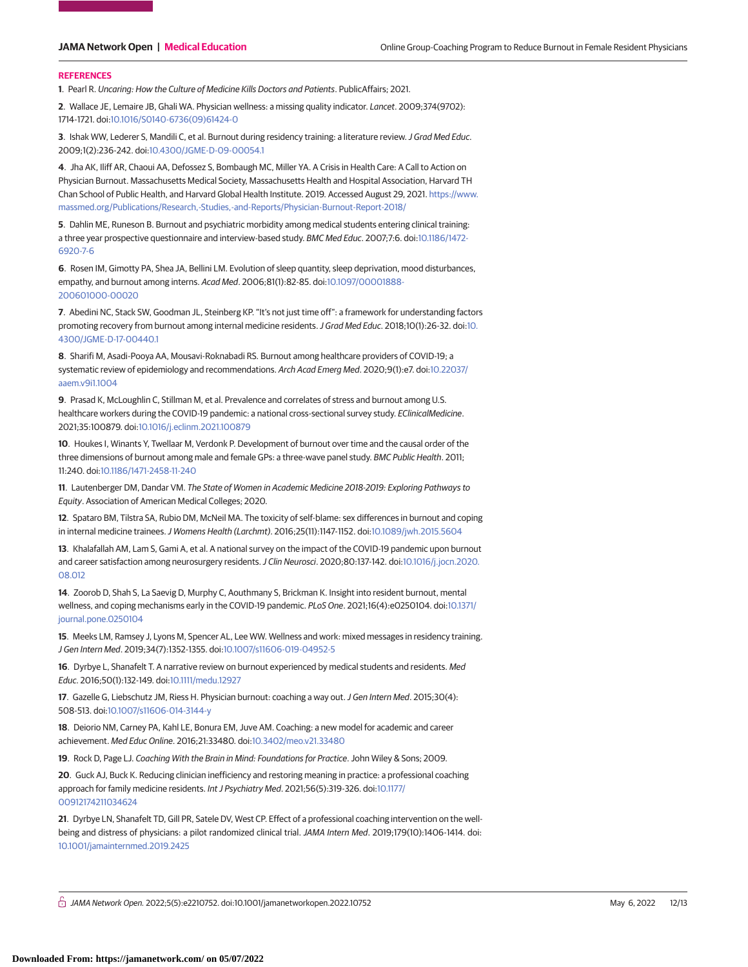#### **REFERENCES**

**1**. Pearl R. Uncaring: How the Culture of Medicine Kills Doctors and Patients. PublicAffairs; 2021.

**2**. Wallace JE, Lemaire JB, Ghali WA. Physician wellness: a missing quality indicator. Lancet. 2009;374(9702): 1714-1721. doi[:10.1016/S0140-6736\(09\)61424-0](https://dx.doi.org/10.1016/S0140-6736(09)61424-0)

**3**. Ishak WW, Lederer S, Mandili C, et al. Burnout during residency training: a literature review.J Grad Med Educ. 2009;1(2):236-242. doi[:10.4300/JGME-D-09-00054.1](https://dx.doi.org/10.4300/JGME-D-09-00054.1)

**4**. Jha AK, Iliff AR, Chaoui AA, Defossez S, Bombaugh MC, Miller YA. A Crisis in Health Care: A Call to Action on Physician Burnout. Massachusetts Medical Society, Massachusetts Health and Hospital Association, Harvard TH Chan School of Public Health, and Harvard Global Health Institute. 2019. Accessed August 29, 2021. [https://www.](https://www.massmed.org/Publications/Research%2c-Studies) [massmed.org/Publications/Research,-Studies,-and-Reports/Physician-Burnout-Report-2018/](https://www.massmed.org/Publications/Research%2c-Studies)

**5**. Dahlin ME, Runeson B. Burnout and psychiatric morbidity among medical students entering clinical training: a three year prospective questionnaire and interview-based study. BMC Med Educ. 2007;7:6. doi[:10.1186/1472-](https://dx.doi.org/10.1186/1472-6920-7-6) [6920-7-6](https://dx.doi.org/10.1186/1472-6920-7-6)

**6**. Rosen IM, Gimotty PA, Shea JA, Bellini LM. Evolution of sleep quantity, sleep deprivation, mood disturbances, empathy, and burnout among interns. Acad Med. 2006;81(1):82-85. doi[:10.1097/00001888-](https://dx.doi.org/10.1097/00001888-200601000-00020) [200601000-00020](https://dx.doi.org/10.1097/00001888-200601000-00020)

**7**. Abedini NC, Stack SW, Goodman JL, Steinberg KP. "It's not just time off": a framework for understanding factors promoting recovery from burnout among internal medicine residents. J Grad Med Educ. 2018;10(1):26-32. doi[:10.](https://dx.doi.org/10.4300/JGME-D-17-00440.1) [4300/JGME-D-17-00440.1](https://dx.doi.org/10.4300/JGME-D-17-00440.1)

**8**. Sharifi M, Asadi-Pooya AA, Mousavi-Roknabadi RS. Burnout among healthcare providers of COVID-19; a systematic review of epidemiology and recommendations. Arch Acad Emerg Med. 2020;9(1):e7. doi[:10.22037/](https://dx.doi.org/10.22037/aaem.v9i1.1004) [aaem.v9i1.1004](https://dx.doi.org/10.22037/aaem.v9i1.1004)

**9**. Prasad K, McLoughlin C, Stillman M, et al. Prevalence and correlates of stress and burnout among U.S. healthcare workers during the COVID-19 pandemic: a national cross-sectional survey study. EClinicalMedicine. 2021;35:100879. doi[:10.1016/j.eclinm.2021.100879](https://dx.doi.org/10.1016/j.eclinm.2021.100879)

**10**. Houkes I, Winants Y, Twellaar M, Verdonk P. Development of burnout over time and the causal order of the three dimensions of burnout among male and female GPs: a three-wave panel study. BMC Public Health. 2011; 11:240. doi[:10.1186/1471-2458-11-240](https://dx.doi.org/10.1186/1471-2458-11-240)

**11**. Lautenberger DM, Dandar VM. The State of Women in Academic Medicine 2018-2019: Exploring Pathways to Equity. Association of American Medical Colleges; 2020.

**12**. Spataro BM, Tilstra SA, Rubio DM, McNeil MA. The toxicity of self-blame: sex differences in burnout and coping in internal medicine trainees.J Womens Health (Larchmt). 2016;25(11):1147-1152. doi[:10.1089/jwh.2015.5604](https://dx.doi.org/10.1089/jwh.2015.5604)

**13**. Khalafallah AM, Lam S, Gami A, et al. A national survey on the impact of the COVID-19 pandemic upon burnout and career satisfaction among neurosurgery residents.J Clin Neurosci. 2020;80:137-142. doi[:10.1016/j.jocn.2020.](https://dx.doi.org/10.1016/j.jocn.2020.08.012) [08.012](https://dx.doi.org/10.1016/j.jocn.2020.08.012)

**14**. Zoorob D, Shah S, La Saevig D, Murphy C, Aouthmany S, Brickman K. Insight into resident burnout, mental wellness, and coping mechanisms early in the COVID-19 pandemic. PLoS One. 2021;16(4):e0250104. doi[:10.1371/](https://dx.doi.org/10.1371/journal.pone.0250104) [journal.pone.0250104](https://dx.doi.org/10.1371/journal.pone.0250104)

**15**. Meeks LM, Ramsey J, Lyons M, Spencer AL, Lee WW. Wellness and work: mixed messages in residency training. J Gen Intern Med. 2019;34(7):1352-1355. doi[:10.1007/s11606-019-04952-5](https://dx.doi.org/10.1007/s11606-019-04952-5)

**16**. Dyrbye L, Shanafelt T. A narrative review on burnout experienced by medical students and residents. Med Educ. 2016;50(1):132-149. doi[:10.1111/medu.12927](https://dx.doi.org/10.1111/medu.12927)

**17**. Gazelle G, Liebschutz JM, Riess H. Physician burnout: coaching a way out.J Gen Intern Med. 2015;30(4): 508-513. doi[:10.1007/s11606-014-3144-y](https://dx.doi.org/10.1007/s11606-014-3144-y)

**18**. Deiorio NM, Carney PA, Kahl LE, Bonura EM, Juve AM. Coaching: a new model for academic and career achievement. Med Educ Online. 2016;21:33480. doi[:10.3402/meo.v21.33480](https://dx.doi.org/10.3402/meo.v21.33480)

**19**. Rock D, Page LJ. Coaching With the Brain in Mind: Foundations for Practice. John Wiley & Sons; 2009.

**20**. Guck AJ, Buck K. Reducing clinician inefficiency and restoring meaning in practice: a professional coaching approach for family medicine residents. Int J Psychiatry Med. 2021;56(5):319-326. doi[:10.1177/](https://dx.doi.org/10.1177/00912174211034624) [00912174211034624](https://dx.doi.org/10.1177/00912174211034624)

**21**. Dyrbye LN, Shanafelt TD, Gill PR, Satele DV, West CP. Effect of a professional coaching intervention on the wellbeing and distress of physicians: a pilot randomized clinical trial. JAMA Intern Med. 2019;179(10):1406-1414. doi: [10.1001/jamainternmed.2019.2425](https://jama.jamanetwork.com/article.aspx?doi=10.1001/jamainternmed.2019.2425&utm_campaign=articlePDF%26utm_medium=articlePDFlink%26utm_source=articlePDF%26utm_content=jamanetworkopen.2022.10752)

 $\bigcap$  JAMA Network Open. 2022;5(5):e2210752. doi:10.1001/jamanetworkopen.2022.10752 (Reprinted) May 6, 2022 12/13